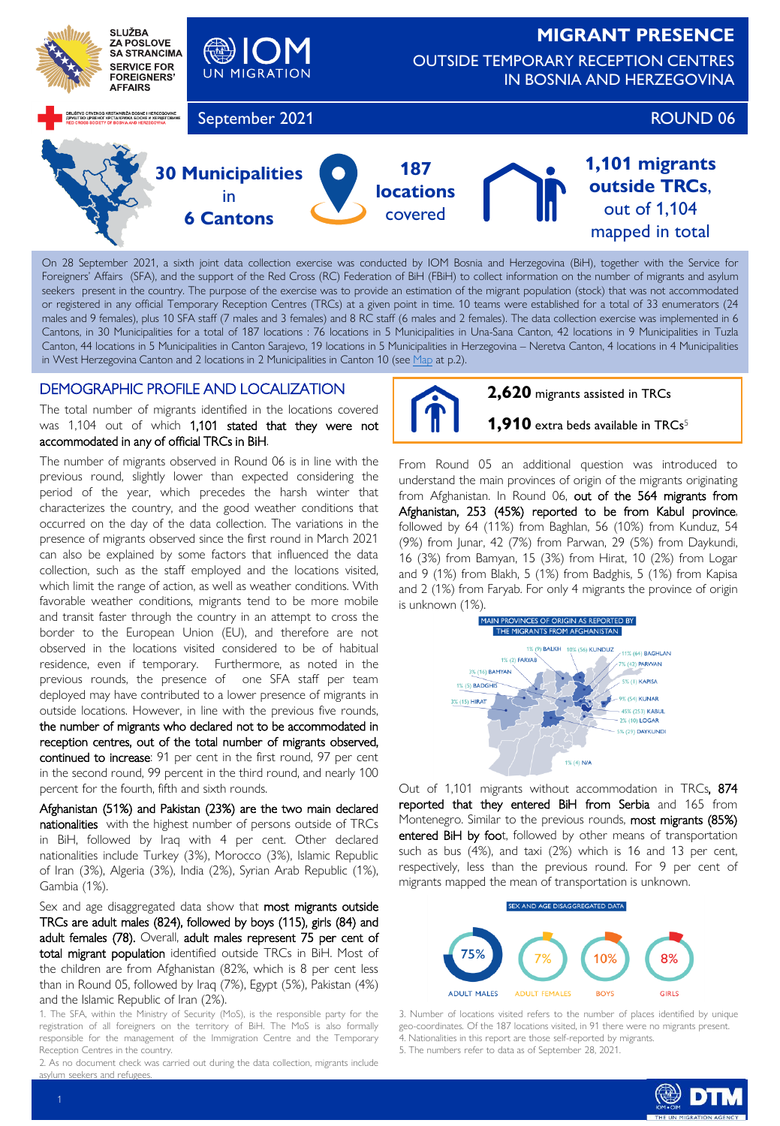

On 28 September 2021, a sixth joint data collection exercise was conducted by IOM Bosnia and Herzegovina (BiH), together with the Service for Foreigners' Affairs (SFA), and the support of the Red Cross (RC) Federation of BiH (FBiH) to collect information on the number of migrants and asylum seekers present in the country. The purpose of the exercise was to provide an estimation of the migrant population (stock) that was not accommodated or registered in any official Temporary Reception Centres (TRCs) at a given point in time. 10 teams were established for a total of 33 enumerators (24 males and 9 females), plus 10 SFA staff (7 males and 3 females) and 8 RC staff (6 males and 2 females). The data collection exercise was implemented in 6 Cantons, in 30 Municipalities for a total of 187 locations : 76 locations in 5 Municipalities in Una-Sana Canton, 42 locations in 9 Municipalities in Tuzla Canton, 44 locations in 5 Municipalities in Canton Sarajevo, 19 locations in 5 Municipalities in Herzegovina – Neretva Canton, 4 locations in 4 Municipalities in West Herzegovina Canton and 2 locations in 2 Municipalities in Canton 10 (see [Map](#page-1-0) at p.2).

# DEMOGRAPHIC PROFILE AND LOCALIZATION

The total number of migrants identified in the locations covered was 1,104 out of which 1,101 stated that they were not accommodated in any of official TRCs in BiH.

The number of migrants observed in Round 06 is in line with the previous round, slightly lower than expected considering the period of the year, which precedes the harsh winter that characterizes the country, and the good weather conditions that occurred on the day of the data collection. The variations in the presence of migrants observed since the first round in March 2021 can also be explained by some factors that influenced the data collection, such as the staff employed and the locations visited, which limit the range of action, as well as weather conditions. With favorable weather conditions, migrants tend to be more mobile and transit faster through the country in an attempt to cross the border to the European Union (EU), and therefore are not observed in the locations visited considered to be of habitual residence, even if temporary. Furthermore, as noted in the previous rounds, the presence of one SFA staff per team deployed may have contributed to a lower presence of migrants in outside locations. However, in line with the previous five rounds, the number of migrants who declared not to be accommodated in reception centres, out of the total number of migrants observed, continued to increase: 91 per cent in the first round, 97 per cent in the second round, 99 percent in the third round, and nearly 100 percent for the fourth, fifth and sixth rounds.

Afghanistan (51%) and Pakistan (23%) are the two main declared nationalities with the highest number of persons outside of TRCs in BiH, followed by Iraq with 4 per cent. Other declared nationalities include Turkey (3%), Morocco (3%), Islamic Republic of Iran (3%), Algeria (3%), India (2%), Syrian Arab Republic (1%), Gambia (1%).

Sex and age disaggregated data show that most migrants outside TRCs are adult males (824), followed by boys (115), girls (84) and adult females (78). Overall, adult males represent 75 per cent of total migrant population identified outside TRCs in BiH. Most of the children are from Afghanistan (82%, which is 8 per cent less than in Round 05, followed by Iraq (7%), Egypt (5%), Pakistan (4%) and the Islamic Republic of Iran (2%).

1. The SFA, within the Ministry of Security (MoS), is the responsible party for the registration of all foreigners on the territory of BiH. The MoS is also formally responsible for the management of the Immigration Centre and the Temporary Reception Centres in the country.

2. As no document check was carried out during the data collection, migrants include  $s$ sylum seekers and refuge



**2,620** migrants assisted in TRCs

**1,910** extra beds available in TRCs<sup>5</sup>

From Round 05 an additional question was introduced to understand the main provinces of origin of the migrants originating from Afghanistan. In Round 06, out of the 564 migrants from Afghanistan, 253 (45%) reported to be from Kabul province, followed by 64 (11%) from Baghlan, 56 (10%) from Kunduz, 54 (9%) from Junar, 42 (7%) from Parwan, 29 (5%) from Daykundi, 16 (3%) from Bamyan, 15 (3%) from Hirat, 10 (2%) from Logar and 9 (1%) from Blakh, 5 (1%) from Badghis, 5 (1%) from Kapisa and 2 (1%) from Faryab. For only 4 migrants the province of origin is unknown (1%).



Out of 1,101 migrants without accommodation in TRCs, 874 reported that they entered BiH from Serbia and 165 from Montenegro. Similar to the previous rounds, most migrants (85%) entered BiH by foot, followed by other means of transportation such as bus (4%), and taxi (2%) which is 16 and 13 per cent, respectively, less than the previous round. For 9 per cent of migrants mapped the mean of transportation is unknown.



3. Number of locations visited refers to the number of places identified by unique geo-coordinates. Of the 187 locations visited, in 91 there were no migrants present. 4. Nationalities in this report are those self-reported by migrants.

5. The numbers refer to data as of September 28, 2021.

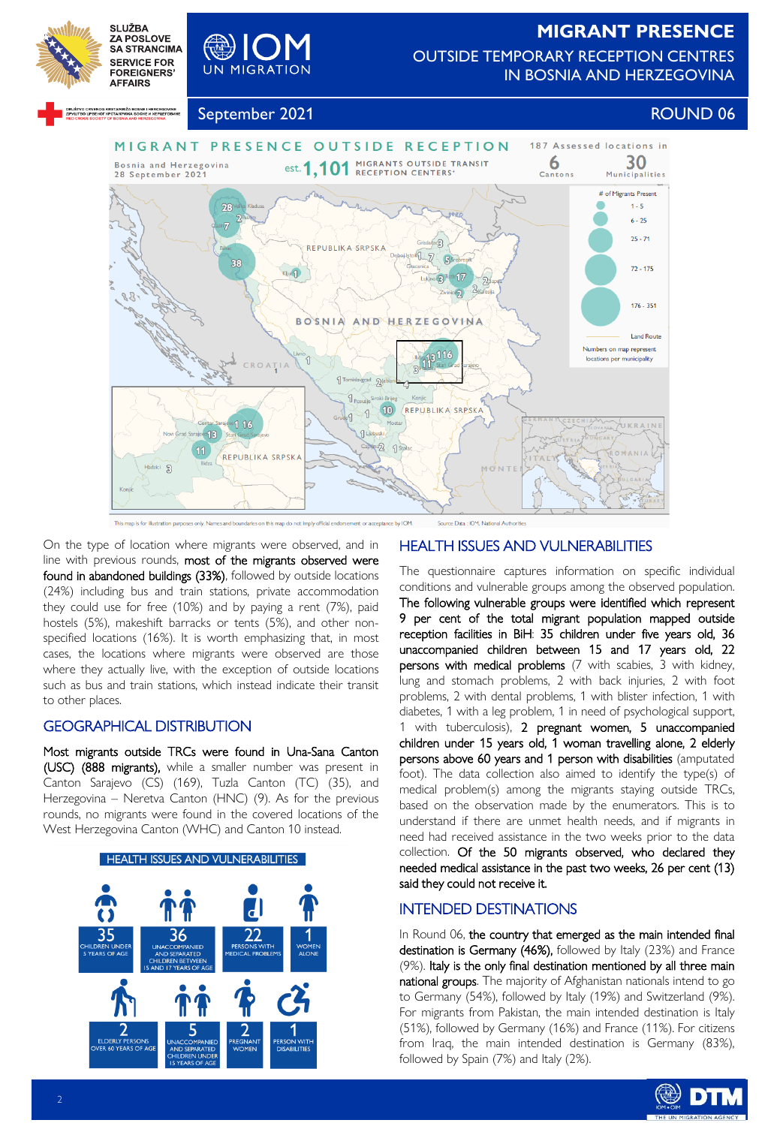

OUTSIDE TEMPORARY RECEPTION CENTRES IN BOSNIA AND HERZEGOVINA

<span id="page-1-0"></span>

Willes

SLUŽBA<br>ZA POSLOVE

**SA STRANCIMA** 

September 2021 **ROUND 06** 



On the type of location where migrants were observed, and in line with previous rounds, most of the migrants observed were found in abandoned buildings (33%), followed by outside locations (24%) including bus and train stations, private accommodation they could use for free (10%) and by paying a rent (7%), paid hostels (5%), makeshift barracks or tents (5%), and other nonspecified locations (16%). It is worth emphasizing that, in most cases, the locations where migrants were observed are those where they actually live, with the exception of outside locations such as bus and train stations, which instead indicate their transit to other places.

# GEOGRAPHICAL DISTRIBUTION

Most migrants outside TRCs were found in Una-Sana Canton (USC) (888 migrants), while a smaller number was present in Canton Sarajevo (CS) (169), Tuzla Canton (TC) (35), and Herzegovina – Neretva Canton (HNC) (9). As for the previous rounds, no migrants were found in the covered locations of the West Herzegovina Canton (WHC) and Canton 10 instead.



# HEALTH ISSUES AND VULNERABILITIES

The questionnaire captures information on specific individual conditions and vulnerable groups among the observed population. The following vulnerable groups were identified which represent 9 per cent of the total migrant population mapped outside reception facilities in BiH: 35 children under five years old, 36 unaccompanied children between 15 and 17 years old, 22 persons with medical problems (7 with scabies, 3 with kidney, lung and stomach problems, 2 with back injuries, 2 with foot problems, 2 with dental problems, 1 with blister infection, 1 with diabetes, 1 with a leg problem, 1 in need of psychological support, 1 with tuberculosis), 2 pregnant women, 5 unaccompanied children under 15 years old, 1 woman travelling alone, 2 elderly persons above 60 years and 1 person with disabilities (amputated foot). The data collection also aimed to identify the type(s) of medical problem(s) among the migrants staying outside TRCs, based on the observation made by the enumerators. This is to understand if there are unmet health needs, and if migrants in need had received assistance in the two weeks prior to the data collection. Of the 50 migrants observed, who declared they needed medical assistance in the past two weeks, 26 per cent (13) said they could not receive it.

# INTENDED DESTINATIONS

In Round 06, the country that emerged as the main intended final destination is Germany (46%), followed by Italy (23%) and France (9%). Italy is the only final destination mentioned by all three main national groups. The majority of Afghanistan nationals intend to go to Germany (54%), followed by Italy (19%) and Switzerland (9%). For migrants from Pakistan, the main intended destination is Italy (51%), followed by Germany (16%) and France (11%). For citizens from Iraq, the main intended destination is Germany (83%), followed by Spain (7%) and Italy (2%).